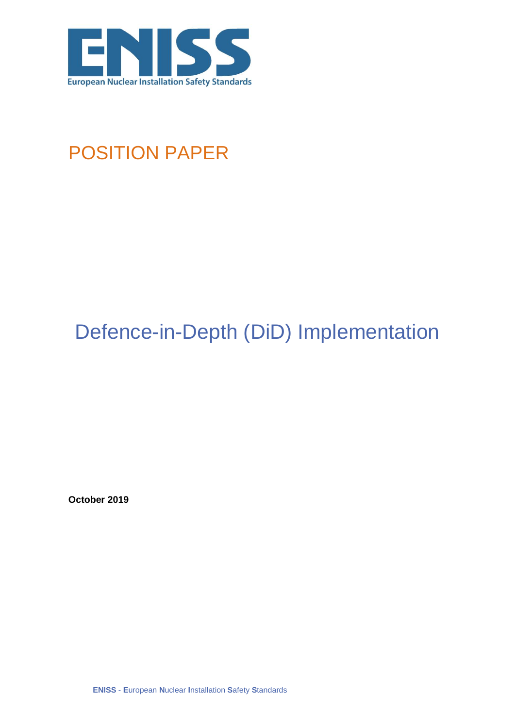

## POSITION PAPER

# Defence-in-Depth (DiD) Implementation

**October 2019**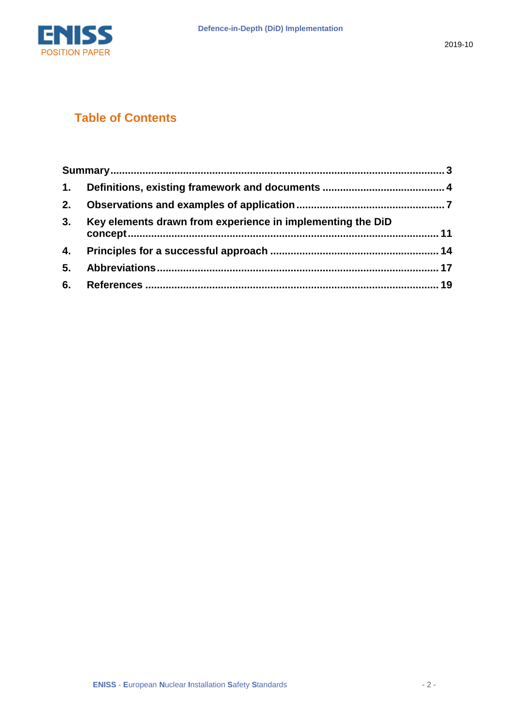

#### **Table of Contents**

| 2. |                                                            |  |
|----|------------------------------------------------------------|--|
| 3. | Key elements drawn from experience in implementing the DiD |  |
|    |                                                            |  |
| 5. |                                                            |  |
| 6. |                                                            |  |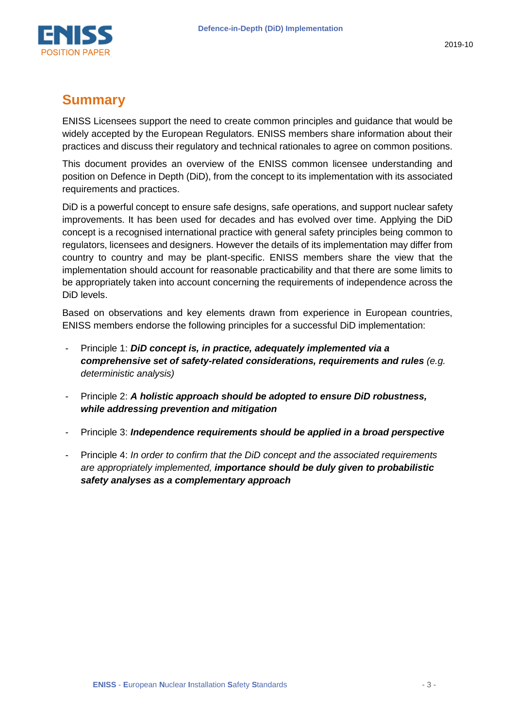

#### <span id="page-2-0"></span>**Summary**

ENISS Licensees support the need to create common principles and guidance that would be widely accepted by the European Regulators. ENISS members share information about their practices and discuss their regulatory and technical rationales to agree on common positions.

This document provides an overview of the ENISS common licensee understanding and position on Defence in Depth (DiD), from the concept to its implementation with its associated requirements and practices.

DiD is a powerful concept to ensure safe designs, safe operations, and support nuclear safety improvements. It has been used for decades and has evolved over time. Applying the DiD concept is a recognised international practice with general safety principles being common to regulators, licensees and designers. However the details of its implementation may differ from country to country and may be plant-specific. ENISS members share the view that the implementation should account for reasonable practicability and that there are some limits to be appropriately taken into account concerning the requirements of independence across the DiD levels.

Based on observations and key elements drawn from experience in European countries, ENISS members endorse the following principles for a successful DiD implementation:

- Principle 1: *DiD concept is, in practice, adequately implemented via a comprehensive set of safety-related considerations, requirements and rules (e.g. deterministic analysis)*
- Principle 2: *A holistic approach should be adopted to ensure DiD robustness, while addressing prevention and mitigation*
- Principle 3: *Independence requirements should be applied in a broad perspective*
- Principle 4: *In order to confirm that the DiD concept and the associated requirements are appropriately implemented, importance should be duly given to probabilistic safety analyses as a complementary approach*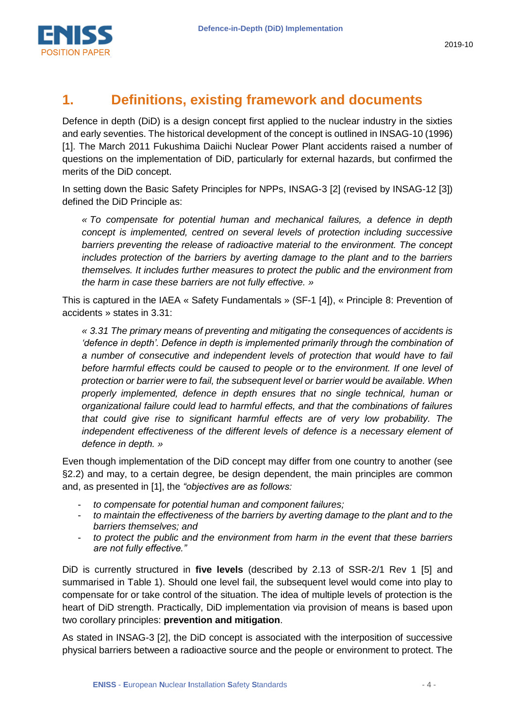

## <span id="page-3-0"></span>**1. Definitions, existing framework and documents**

Defence in depth (DiD) is a design concept first applied to the nuclear industry in the sixties and early seventies. The historical development of the concept is outlined in INSAG-10 (1996) [\[1\].](#page-18-1) The March 2011 Fukushima Daiichi Nuclear Power Plant accidents raised a number of questions on the implementation of DiD, particularly for external hazards, but confirmed the merits of the DiD concept.

In setting down the Basic Safety Principles for NPPs, INSAG-3 [\[2\]](#page-18-2) (revised by INSAG-12 [\[3\]\)](#page-18-3) defined the DiD Principle as:

*« To compensate for potential human and mechanical failures, a defence in depth concept is implemented, centred on several levels of protection including successive barriers preventing the release of radioactive material to the environment. The concept includes protection of the barriers by averting damage to the plant and to the barriers themselves. It includes further measures to protect the public and the environment from the harm in case these barriers are not fully effective. »*

This is captured in the IAEA « Safety Fundamentals » (SF-1 [\[4\]\)](#page-18-4), « Principle 8: Prevention of accidents » states in 3.31:

*« 3.31 The primary means of preventing and mitigating the consequences of accidents is 'defence in depth'. Defence in depth is implemented primarily through the combination of a number of consecutive and independent levels of protection that would have to fail before harmful effects could be caused to people or to the environment. If one level of protection or barrier were to fail, the subsequent level or barrier would be available. When properly implemented, defence in depth ensures that no single technical, human or organizational failure could lead to harmful effects, and that the combinations of failures that could give rise to significant harmful effects are of very low probability. The independent effectiveness of the different levels of defence is a necessary element of defence in depth. »*

Even though implementation of the DiD concept may differ from one country to another (see [§2.2\)](#page-9-0) and may, to a certain degree, be design dependent, the main principles are common and, as presented in [\[1\],](#page-18-1) the *"objectives are as follows:*

- *to compensate for potential human and component failures;*
- to maintain the effectiveness of the barriers by averting damage to the plant and to the *barriers themselves; and*
- to protect the public and the environment from harm in the event that these barriers *are not fully effective."*

DiD is currently structured in **five levels** (described by 2.13 of SSR-2/1 Rev 1 [\[5\]](#page-18-5) and summarised in Table 1). Should one level fail, the subsequent level would come into play to compensate for or take control of the situation. The idea of multiple levels of protection is the heart of DiD strength. Practically, DiD implementation via provision of means is based upon two corollary principles: **prevention and mitigation**.

As stated in INSAG-3 [\[2\],](#page-18-2) the DiD concept is associated with the interposition of successive physical barriers between a radioactive source and the people or environment to protect. The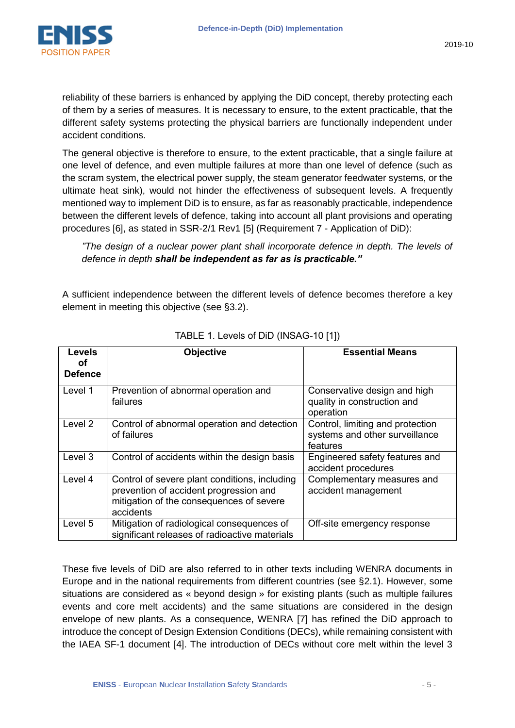

reliability of these barriers is enhanced by applying the DiD concept, thereby protecting each of them by a series of measures. It is necessary to ensure, to the extent practicable, that the different safety systems protecting the physical barriers are functionally independent under accident conditions.

The general objective is therefore to ensure, to the extent practicable, that a single failure at one level of defence, and even multiple failures at more than one level of defence (such as the scram system, the electrical power supply, the steam generator feedwater systems, or the ultimate heat sink), would not hinder the effectiveness of subsequent levels. A frequently mentioned way to implement DiD is to ensure, as far as reasonably practicable, independence between the different levels of defence, taking into account all plant provisions and operating procedures [\[6\],](#page-18-6) as stated in SSR-2/1 Rev1 [\[5\]](#page-18-5) (Requirement 7 - Application of DiD):

*"The design of a nuclear power plant shall incorporate defence in depth. The levels of defence in depth shall be independent as far as is practicable."*

A sufficient independence between the different levels of defence becomes therefore a key element in meeting this objective (see [§3.2\)](#page-10-1).

| <b>Levels</b><br>οf<br><b>Defence</b> | <b>Objective</b>                                                                                                                                 | <b>Essential Means</b>                                                         |
|---------------------------------------|--------------------------------------------------------------------------------------------------------------------------------------------------|--------------------------------------------------------------------------------|
| Level 1                               | Prevention of abnormal operation and<br>failures                                                                                                 | Conservative design and high<br>quality in construction and<br>operation       |
| Level 2                               | Control of abnormal operation and detection<br>of failures                                                                                       | Control, limiting and protection<br>systems and other surveillance<br>features |
| Level 3                               | Control of accidents within the design basis                                                                                                     | Engineered safety features and<br>accident procedures                          |
| Level 4                               | Control of severe plant conditions, including<br>prevention of accident progression and<br>mitigation of the consequences of severe<br>accidents | Complementary measures and<br>accident management                              |
| Level 5                               | Mitigation of radiological consequences of<br>significant releases of radioactive materials                                                      | Off-site emergency response                                                    |

TABLE 1. Levels of DiD (INSAG-10 [\[1\]\)](#page-18-1)

These five levels of DiD are also referred to in other texts including WENRA documents in Europe and in the national requirements from different countries (see [§2.1\)](#page-6-1). However, some situations are considered as « beyond design » for existing plants (such as multiple failures events and core melt accidents) and the same situations are considered in the design envelope of new plants. As a consequence, WENRA [\[7\]](#page-18-7) has refined the DiD approach to introduce the concept of Design Extension Conditions (DECs), while remaining consistent with the IAEA SF-1 document [\[4\].](#page-18-4) The introduction of DECs without core melt within the level 3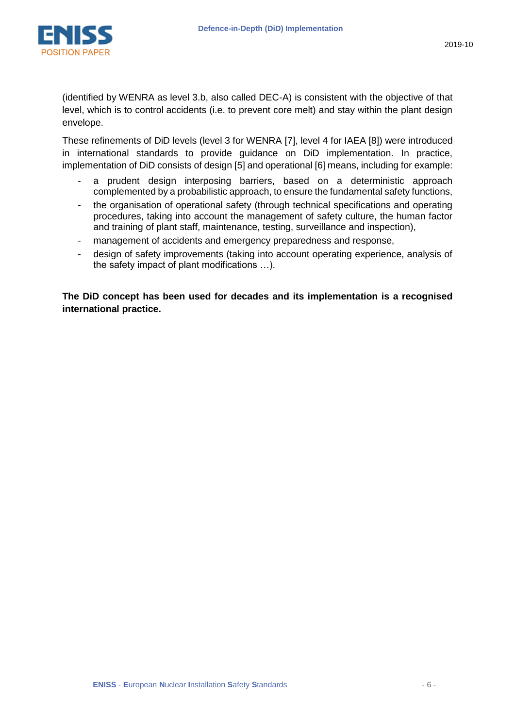

(identified by WENRA as level 3.b, also called DEC-A) is consistent with the objective of that level, which is to control accidents (i.e. to prevent core melt) and stay within the plant design envelope.

These refinements of DiD levels (level 3 for WENRA [\[7\],](#page-18-7) level 4 for IAEA [\[8\]\)](#page-18-8) were introduced in international standards to provide guidance on DiD implementation. In practice, implementation of DiD consists of design [\[5\]](#page-18-5) and operational [\[6\]](#page-18-6) means, including for example:

- a prudent design interposing barriers, based on a deterministic approach complemented by a probabilistic approach, to ensure the fundamental safety functions,
- the organisation of operational safety (through technical specifications and operating procedures, taking into account the management of safety culture, the human factor and training of plant staff, maintenance, testing, surveillance and inspection),
- management of accidents and emergency preparedness and response,
- design of safety improvements (taking into account operating experience, analysis of the safety impact of plant modifications …).

**The DiD concept has been used for decades and its implementation is a recognised international practice.**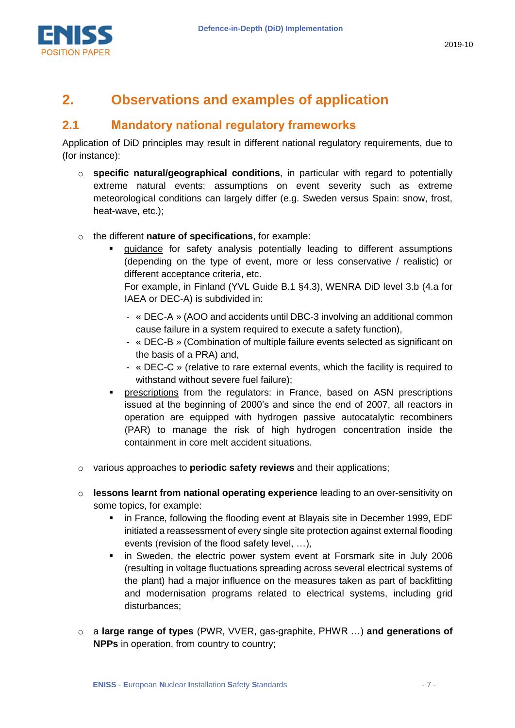

## <span id="page-6-0"></span>**2. Observations and examples of application**

#### <span id="page-6-1"></span>**2.1 Mandatory national regulatory frameworks**

Application of DiD principles may result in different national regulatory requirements, due to (for instance):

- o **specific natural/geographical conditions**, in particular with regard to potentially extreme natural events: assumptions on event severity such as extreme meteorological conditions can largely differ (e.g. Sweden versus Spain: snow, frost, heat-wave, etc.);
- o the different **nature of specifications**, for example:
	- guidance for safety analysis potentially leading to different assumptions (depending on the type of event, more or less conservative / realistic) or different acceptance criteria, etc.

For example, in Finland (YVL Guide B.1 §4.3), WENRA DiD level 3.b (4.a for IAEA or DEC-A) is subdivided in:

- « DEC-A » (AOO and accidents until DBC-3 involving an additional common cause failure in a system required to execute a safety function),
- « DEC-B » (Combination of multiple failure events selected as significant on the basis of a PRA) and,
- « DEC-C » (relative to rare external events, which the facility is required to withstand without severe fuel failure);
- prescriptions from the regulators: in France, based on ASN prescriptions issued at the beginning of 2000's and since the end of 2007, all reactors in operation are equipped with hydrogen passive autocatalytic recombiners (PAR) to manage the risk of high hydrogen concentration inside the containment in core melt accident situations.
- o various approaches to **periodic safety reviews** and their applications;
- o **lessons learnt from national operating experience** leading to an over-sensitivity on some topics, for example:
	- **F** in France, following the flooding event at Blayais site in December 1999, EDF initiated a reassessment of every single site protection against external flooding events (revision of the flood safety level, …),
	- in Sweden, the electric power system event at Forsmark site in July 2006 (resulting in voltage fluctuations spreading across several electrical systems of the plant) had a major influence on the measures taken as part of backfitting and modernisation programs related to electrical systems, including grid disturbances;
- o a **large range of types** (PWR, VVER, gas-graphite, PHWR …) **and generations of NPPs** in operation, from country to country;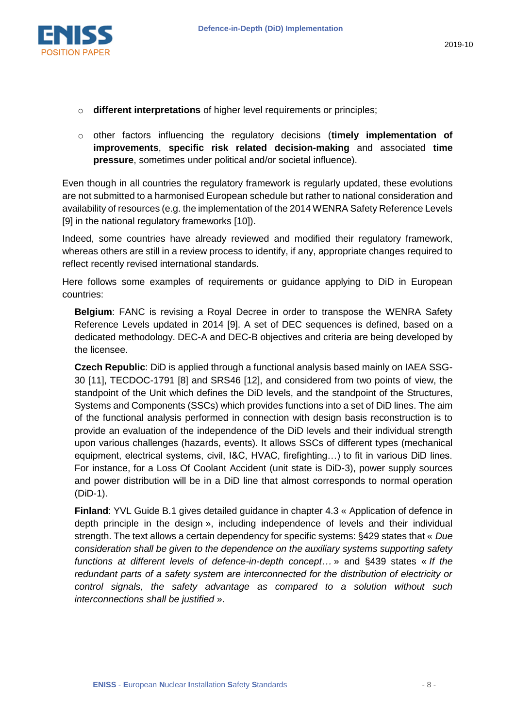

- o **different interpretations** of higher level requirements or principles;
- o other factors influencing the regulatory decisions (**timely implementation of improvements**, **specific risk related decision-making** and associated **time pressure**, sometimes under political and/or societal influence).

Even though in all countries the regulatory framework is regularly updated, these evolutions are not submitted to a harmonised European schedule but rather to national consideration and availability of resources (e.g. the implementation of the 2014 WENRA Safety Reference Levels [\[9\]](#page-18-9) in the national regulatory frameworks [\[10\]\)](#page-18-10).

Indeed, some countries have already reviewed and modified their regulatory framework, whereas others are still in a review process to identify, if any, appropriate changes required to reflect recently revised international standards.

Here follows some examples of requirements or guidance applying to DiD in European countries:

**Belgium**: FANC is revising a Royal Decree in order to transpose the WENRA Safety Reference Levels updated in 2014 [\[9\].](#page-18-9) A set of DEC sequences is defined, based on a dedicated methodology. DEC-A and DEC-B objectives and criteria are being developed by the licensee.

**Czech Republic**: DiD is applied through a functional analysis based mainly on IAEA SSG-30 [\[11\],](#page-18-11) TECDOC-1791 [\[8\]](#page-18-8) and SRS46 [\[12\],](#page-18-12) and considered from two points of view, the standpoint of the Unit which defines the DiD levels, and the standpoint of the Structures, Systems and Components (SSCs) which provides functions into a set of DiD lines. The aim of the functional analysis performed in connection with design basis reconstruction is to provide an evaluation of the independence of the DiD levels and their individual strength upon various challenges (hazards, events). It allows SSCs of different types (mechanical equipment, electrical systems, civil, I&C, HVAC, firefighting…) to fit in various DiD lines. For instance, for a Loss Of Coolant Accident (unit state is DiD-3), power supply sources and power distribution will be in a DiD line that almost corresponds to normal operation (DiD-1).

**Finland**: YVL Guide B.1 gives detailed guidance in chapter 4.3 « Application of defence in depth principle in the design », including independence of levels and their individual strength. The text allows a certain dependency for specific systems: §429 states that « *Due consideration shall be given to the dependence on the auxiliary systems supporting safety functions at different levels of defence-in-depth concept…* » and §439 states « *If the redundant parts of a safety system are interconnected for the distribution of electricity or control signals, the safety advantage as compared to a solution without such interconnections shall be justified* ».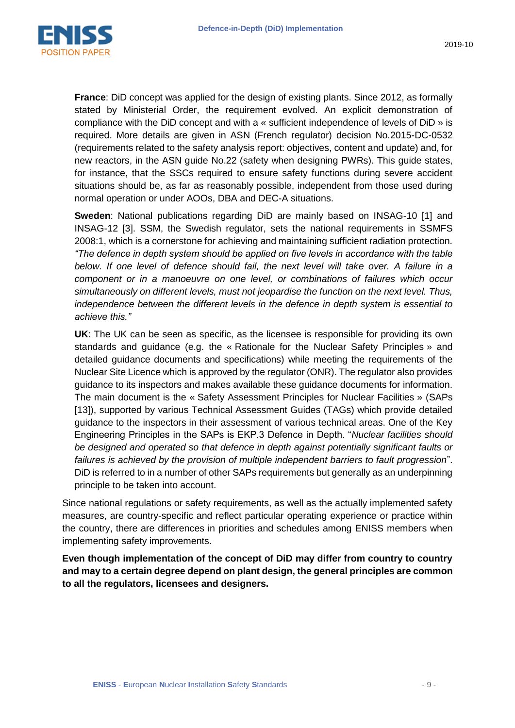

**France**: DiD concept was applied for the design of existing plants. Since 2012, as formally stated by Ministerial Order, the requirement evolved. An explicit demonstration of compliance with the DiD concept and with a « sufficient independence of levels of DiD » is required. More details are given in ASN (French regulator) decision No.2015-DC-0532 (requirements related to the safety analysis report: objectives, content and update) and, for new reactors, in the ASN guide No.22 (safety when designing PWRs). This guide states, for instance, that the SSCs required to ensure safety functions during severe accident situations should be, as far as reasonably possible, independent from those used during normal operation or under AOOs, DBA and DEC-A situations.

**Sweden**: National publications regarding DiD are mainly based on INSAG-10 [\[1\]](#page-18-1) and INSAG-12 [\[3\].](#page-18-3) SSM, the Swedish regulator, sets the national requirements in SSMFS 2008:1, which is a cornerstone for achieving and maintaining sufficient radiation protection. *"The defence in depth system should be applied on five levels in accordance with the table*  below. If one level of defence should fail, the next level will take over. A failure in a *component or in a manoeuvre on one level, or combinations of failures which occur simultaneously on different levels, must not jeopardise the function on the next level. Thus, independence between the different levels in the defence in depth system is essential to achieve this."*

**UK**: The UK can be seen as specific, as the licensee is responsible for providing its own standards and guidance (e.g. the « Rationale for the Nuclear Safety Principles » and detailed guidance documents and specifications) while meeting the requirements of the Nuclear Site Licence which is approved by the regulator (ONR). The regulator also provides guidance to its inspectors and makes available these guidance documents for information. The main document is the « Safety Assessment Principles for Nuclear Facilities » (SAPs [\[13\]\)](#page-18-13), supported by various Technical Assessment Guides (TAGs) which provide detailed guidance to the inspectors in their assessment of various technical areas. One of the Key Engineering Principles in the SAPs is EKP.3 Defence in Depth. "*Nuclear facilities should be designed and operated so that defence in depth against potentially significant faults or failures is achieved by the provision of multiple independent barriers to fault progression*". DiD is referred to in a number of other SAPs requirements but generally as an underpinning principle to be taken into account.

Since national regulations or safety requirements, as well as the actually implemented safety measures, are country-specific and reflect particular operating experience or practice within the country, there are differences in priorities and schedules among ENISS members when implementing safety improvements.

**Even though implementation of the concept of DiD may differ from country to country and may to a certain degree depend on plant design, the general principles are common to all the regulators, licensees and designers.**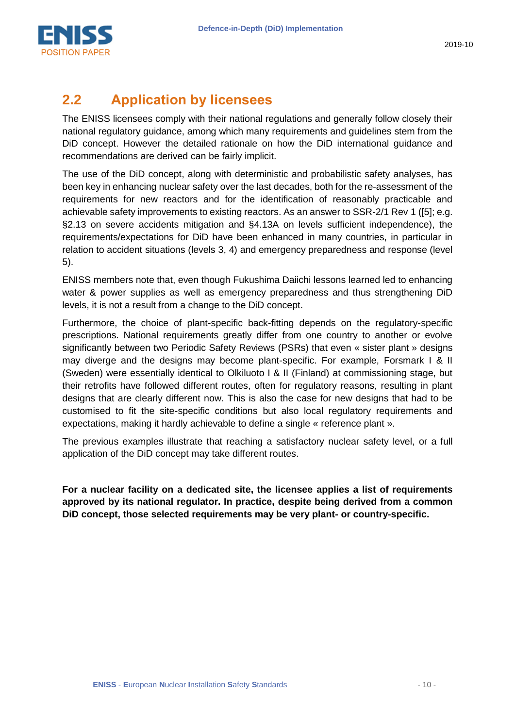

## <span id="page-9-0"></span>**2.2 Application by licensees**

The ENISS licensees comply with their national regulations and generally follow closely their national regulatory guidance, among which many requirements and guidelines stem from the DiD concept. However the detailed rationale on how the DiD international guidance and recommendations are derived can be fairly implicit.

The use of the DiD concept, along with deterministic and probabilistic safety analyses, has been key in enhancing nuclear safety over the last decades, both for the re-assessment of the requirements for new reactors and for the identification of reasonably practicable and achievable safety improvements to existing reactors. As an answer to SSR-2/1 Rev 1 [\(\[5\];](#page-18-5) e.g. §2.13 on severe accidents mitigation and §4.13A on levels sufficient independence), the requirements/expectations for DiD have been enhanced in many countries, in particular in relation to accident situations (levels 3, 4) and emergency preparedness and response (level 5).

ENISS members note that, even though Fukushima Daiichi lessons learned led to enhancing water & power supplies as well as emergency preparedness and thus strengthening DiD levels, it is not a result from a change to the DiD concept.

Furthermore, the choice of plant-specific back-fitting depends on the regulatory-specific prescriptions. National requirements greatly differ from one country to another or evolve significantly between two Periodic Safety Reviews (PSRs) that even « sister plant » designs may diverge and the designs may become plant-specific. For example, Forsmark I & II (Sweden) were essentially identical to Olkiluoto I & II (Finland) at commissioning stage, but their retrofits have followed different routes, often for regulatory reasons, resulting in plant designs that are clearly different now. This is also the case for new designs that had to be customised to fit the site-specific conditions but also local regulatory requirements and expectations, making it hardly achievable to define a single « reference plant ».

The previous examples illustrate that reaching a satisfactory nuclear safety level, or a full application of the DiD concept may take different routes.

**For a nuclear facility on a dedicated site, the licensee applies a list of requirements approved by its national regulator. In practice, despite being derived from a common DiD concept, those selected requirements may be very plant- or country-specific.**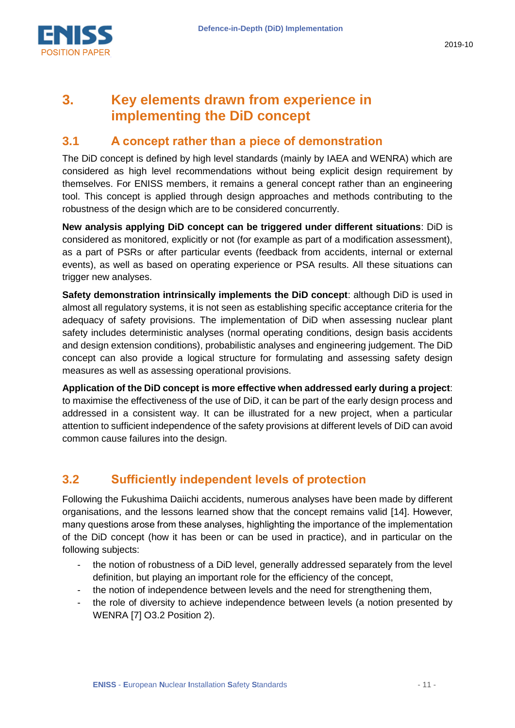

## <span id="page-10-0"></span>**3. Key elements drawn from experience in implementing the DiD concept**

#### **3.1 A concept rather than a piece of demonstration**

The DiD concept is defined by high level standards (mainly by IAEA and WENRA) which are considered as high level recommendations without being explicit design requirement by themselves. For ENISS members, it remains a general concept rather than an engineering tool. This concept is applied through design approaches and methods contributing to the robustness of the design which are to be considered concurrently.

**New analysis applying DiD concept can be triggered under different situations**: DiD is considered as monitored, explicitly or not (for example as part of a modification assessment), as a part of PSRs or after particular events (feedback from accidents, internal or external events), as well as based on operating experience or PSA results. All these situations can trigger new analyses.

**Safety demonstration intrinsically implements the DiD concept**: although DiD is used in almost all regulatory systems, it is not seen as establishing specific acceptance criteria for the adequacy of safety provisions. The implementation of DiD when assessing nuclear plant safety includes deterministic analyses (normal operating conditions, design basis accidents and design extension conditions), probabilistic analyses and engineering judgement. The DiD concept can also provide a logical structure for formulating and assessing safety design measures as well as assessing operational provisions.

**Application of the DiD concept is more effective when addressed early during a project**: to maximise the effectiveness of the use of DiD, it can be part of the early design process and addressed in a consistent way. It can be illustrated for a new project, when a particular attention to sufficient independence of the safety provisions at different levels of DiD can avoid common cause failures into the design.

#### <span id="page-10-1"></span>**3.2 Sufficiently independent levels of protection**

Following the Fukushima Daiichi accidents, numerous analyses have been made by different organisations, and the lessons learned show that the concept remains valid [\[14\].](#page-18-14) However, many questions arose from these analyses, highlighting the importance of the implementation of the DiD concept (how it has been or can be used in practice), and in particular on the following subjects:

- the notion of robustness of a DiD level, generally addressed separately from the level definition, but playing an important role for the efficiency of the concept,
- the notion of independence between levels and the need for strengthening them,
- the role of diversity to achieve independence between levels (a notion presented by WENRA [\[7\]](#page-18-7) O3.2 Position 2).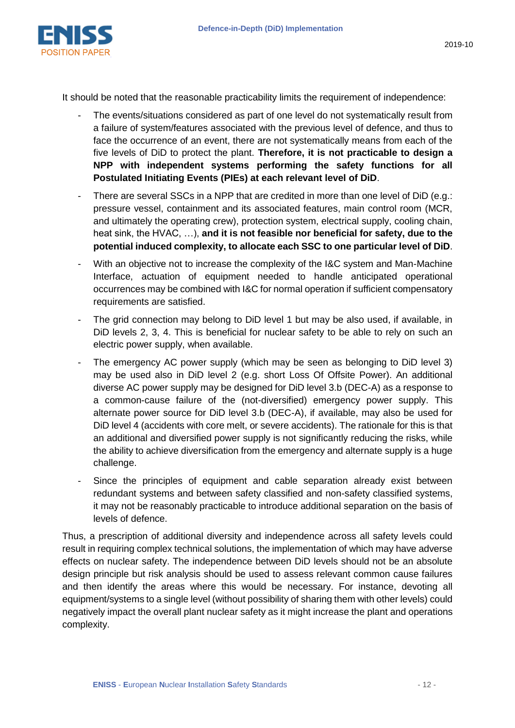

It should be noted that the reasonable practicability limits the requirement of independence:

- The events/situations considered as part of one level do not systematically result from a failure of system/features associated with the previous level of defence, and thus to face the occurrence of an event, there are not systematically means from each of the five levels of DiD to protect the plant. **Therefore, it is not practicable to design a NPP with independent systems performing the safety functions for all Postulated Initiating Events (PIEs) at each relevant level of DiD**.
- There are several SSCs in a NPP that are credited in more than one level of DiD (e.g.: pressure vessel, containment and its associated features, main control room (MCR, and ultimately the operating crew), protection system, electrical supply, cooling chain, heat sink, the HVAC, …), **and it is not feasible nor beneficial for safety, due to the potential induced complexity, to allocate each SSC to one particular level of DiD**.
- With an objective not to increase the complexity of the I&C system and Man-Machine Interface, actuation of equipment needed to handle anticipated operational occurrences may be combined with I&C for normal operation if sufficient compensatory requirements are satisfied.
- The grid connection may belong to DiD level 1 but may be also used, if available, in DiD levels 2, 3, 4. This is beneficial for nuclear safety to be able to rely on such an electric power supply, when available.
- The emergency AC power supply (which may be seen as belonging to DiD level 3) may be used also in DiD level 2 (e.g. short Loss Of Offsite Power). An additional diverse AC power supply may be designed for DiD level 3.b (DEC-A) as a response to a common-cause failure of the (not-diversified) emergency power supply. This alternate power source for DiD level 3.b (DEC-A), if available, may also be used for DiD level 4 (accidents with core melt, or severe accidents). The rationale for this is that an additional and diversified power supply is not significantly reducing the risks, while the ability to achieve diversification from the emergency and alternate supply is a huge challenge.
- Since the principles of equipment and cable separation already exist between redundant systems and between safety classified and non-safety classified systems, it may not be reasonably practicable to introduce additional separation on the basis of levels of defence.

Thus, a prescription of additional diversity and independence across all safety levels could result in requiring complex technical solutions, the implementation of which may have adverse effects on nuclear safety. The independence between DiD levels should not be an absolute design principle but risk analysis should be used to assess relevant common cause failures and then identify the areas where this would be necessary. For instance, devoting all equipment/systems to a single level (without possibility of sharing them with other levels) could negatively impact the overall plant nuclear safety as it might increase the plant and operations complexity.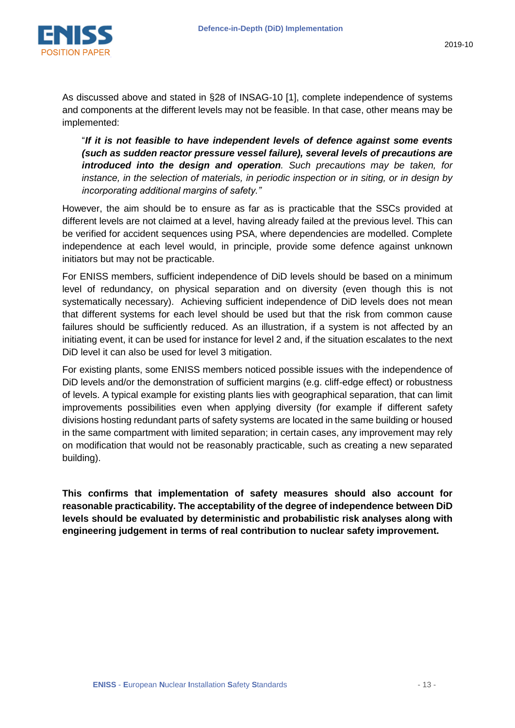

As discussed above and stated in §28 of INSAG-10 [\[1\],](#page-18-1) complete independence of systems and components at the different levels may not be feasible. In that case, other means may be implemented:

"*If it is not feasible to have independent levels of defence against some events (such as sudden reactor pressure vessel failure), several levels of precautions are introduced into the design and operation. Such precautions may be taken, for instance, in the selection of materials, in periodic inspection or in siting, or in design by incorporating additional margins of safety."*

However, the aim should be to ensure as far as is practicable that the SSCs provided at different levels are not claimed at a level, having already failed at the previous level. This can be verified for accident sequences using PSA, where dependencies are modelled. Complete independence at each level would, in principle, provide some defence against unknown initiators but may not be practicable.

For ENISS members, sufficient independence of DiD levels should be based on a minimum level of redundancy, on physical separation and on diversity (even though this is not systematically necessary). Achieving sufficient independence of DiD levels does not mean that different systems for each level should be used but that the risk from common cause failures should be sufficiently reduced. As an illustration, if a system is not affected by an initiating event, it can be used for instance for level 2 and, if the situation escalates to the next DiD level it can also be used for level 3 mitigation.

For existing plants, some ENISS members noticed possible issues with the independence of DiD levels and/or the demonstration of sufficient margins (e.g. cliff-edge effect) or robustness of levels. A typical example for existing plants lies with geographical separation, that can limit improvements possibilities even when applying diversity (for example if different safety divisions hosting redundant parts of safety systems are located in the same building or housed in the same compartment with limited separation; in certain cases, any improvement may rely on modification that would not be reasonably practicable, such as creating a new separated building).

**This confirms that implementation of safety measures should also account for reasonable practicability. The acceptability of the degree of independence between DiD levels should be evaluated by deterministic and probabilistic risk analyses along with engineering judgement in terms of real contribution to nuclear safety improvement.**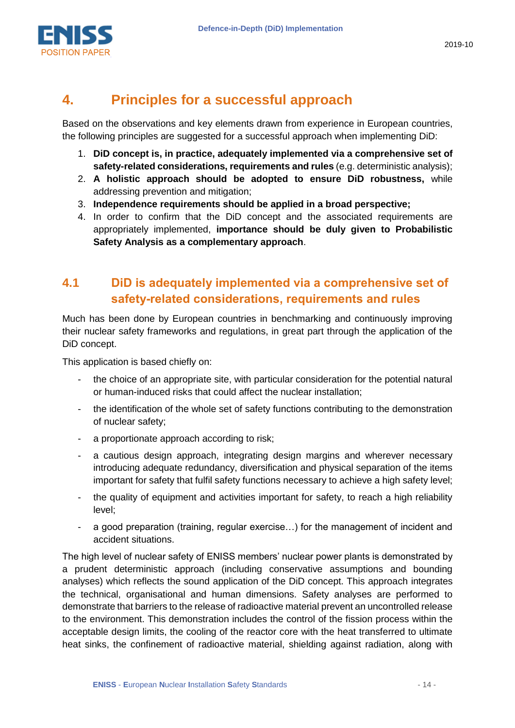

## <span id="page-13-0"></span>**4. Principles for a successful approach**

Based on the observations and key elements drawn from experience in European countries, the following principles are suggested for a successful approach when implementing DiD:

- 1. **DiD concept is, in practice, adequately implemented via a comprehensive set of safety-related considerations, requirements and rules** (e.g. deterministic analysis);
- 2. **A holistic approach should be adopted to ensure DiD robustness,** while addressing prevention and mitigation;
- 3. **Independence requirements should be applied in a broad perspective;**
- 4. In order to confirm that the DiD concept and the associated requirements are appropriately implemented, **importance should be duly given to Probabilistic Safety Analysis as a complementary approach**.

#### **4.1 DiD is adequately implemented via a comprehensive set of safety-related considerations, requirements and rules**

Much has been done by European countries in benchmarking and continuously improving their nuclear safety frameworks and regulations, in great part through the application of the DiD concept.

This application is based chiefly on:

- the choice of an appropriate site, with particular consideration for the potential natural or human-induced risks that could affect the nuclear installation;
- the identification of the whole set of safety functions contributing to the demonstration of nuclear safety;
- a proportionate approach according to risk;
- a cautious design approach, integrating design margins and wherever necessary introducing adequate redundancy, diversification and physical separation of the items important for safety that fulfil safety functions necessary to achieve a high safety level;
- the quality of equipment and activities important for safety, to reach a high reliability level;
- a good preparation (training, regular exercise...) for the management of incident and accident situations.

The high level of nuclear safety of ENISS members' nuclear power plants is demonstrated by a prudent deterministic approach (including conservative assumptions and bounding analyses) which reflects the sound application of the DiD concept. This approach integrates the technical, organisational and human dimensions. Safety analyses are performed to demonstrate that barriers to the release of radioactive material prevent an uncontrolled release to the environment. This demonstration includes the control of the fission process within the acceptable design limits, the cooling of the reactor core with the heat transferred to ultimate heat sinks, the confinement of radioactive material, shielding against radiation, along with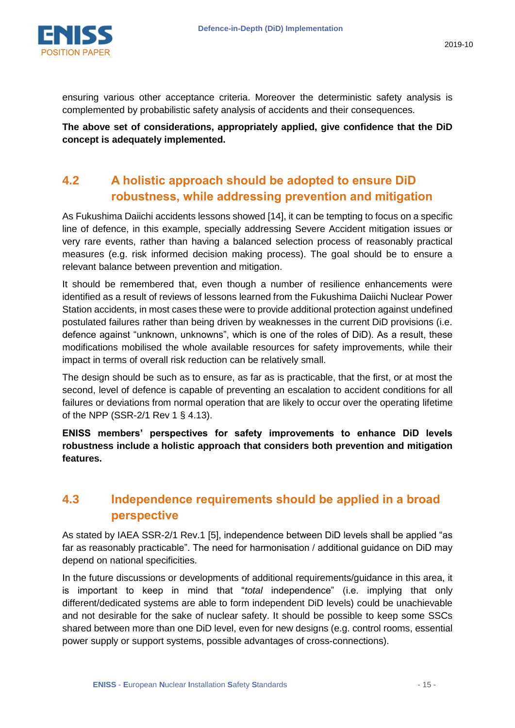

ensuring various other acceptance criteria. Moreover the deterministic safety analysis is complemented by probabilistic safety analysis of accidents and their consequences.

**The above set of considerations, appropriately applied, give confidence that the DiD concept is adequately implemented.**

#### **4.2 A holistic approach should be adopted to ensure DiD robustness, while addressing prevention and mitigation**

As Fukushima Daiichi accidents lessons showed [\[14\],](#page-18-14) it can be tempting to focus on a specific line of defence, in this example, specially addressing Severe Accident mitigation issues or very rare events, rather than having a balanced selection process of reasonably practical measures (e.g. risk informed decision making process). The goal should be to ensure a relevant balance between prevention and mitigation.

It should be remembered that, even though a number of resilience enhancements were identified as a result of reviews of lessons learned from the Fukushima Daiichi Nuclear Power Station accidents, in most cases these were to provide additional protection against undefined postulated failures rather than being driven by weaknesses in the current DiD provisions (i.e. defence against "unknown, unknowns", which is one of the roles of DiD). As a result, these modifications mobilised the whole available resources for safety improvements, while their impact in terms of overall risk reduction can be relatively small.

The design should be such as to ensure, as far as is practicable, that the first, or at most the second, level of defence is capable of preventing an escalation to accident conditions for all failures or deviations from normal operation that are likely to occur over the operating lifetime of the NPP (SSR-2/1 Rev 1 § 4.13).

**ENISS members' perspectives for safety improvements to enhance DiD levels robustness include a holistic approach that considers both prevention and mitigation features.**

#### **4.3 Independence requirements should be applied in a broad perspective**

As stated by IAEA SSR-2/1 Rev.1 [\[5\],](#page-18-5) independence between DiD levels shall be applied "as far as reasonably practicable". The need for harmonisation / additional guidance on DiD may depend on national specificities.

In the future discussions or developments of additional requirements/guidance in this area, it is important to keep in mind that "*total* independence" (i.e. implying that only different/dedicated systems are able to form independent DiD levels) could be unachievable and not desirable for the sake of nuclear safety. It should be possible to keep some SSCs shared between more than one DiD level, even for new designs (e.g. control rooms, essential power supply or support systems, possible advantages of cross-connections).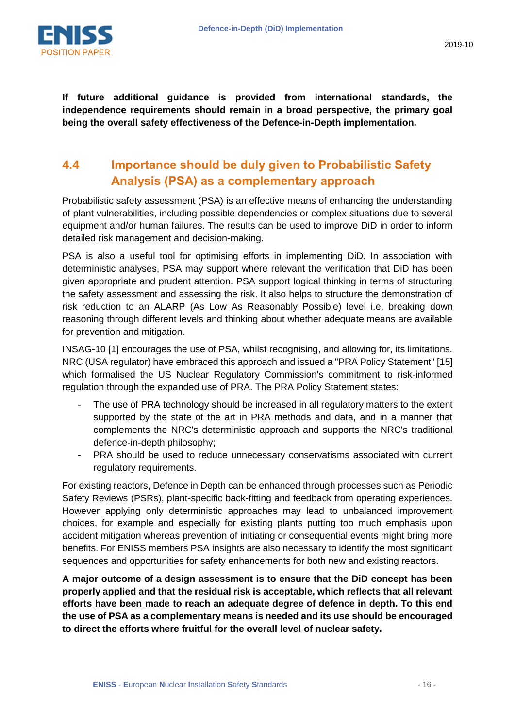

**If future additional guidance is provided from international standards, the independence requirements should remain in a broad perspective, the primary goal being the overall safety effectiveness of the Defence-in-Depth implementation.**

#### **4.4 Importance should be duly given to Probabilistic Safety Analysis (PSA) as a complementary approach**

Probabilistic safety assessment (PSA) is an effective means of enhancing the understanding of plant vulnerabilities, including possible dependencies or complex situations due to several equipment and/or human failures. The results can be used to improve DiD in order to inform detailed risk management and decision-making.

PSA is also a useful tool for optimising efforts in implementing DiD. In association with deterministic analyses, PSA may support where relevant the verification that DiD has been given appropriate and prudent attention. PSA support logical thinking in terms of structuring the safety assessment and assessing the risk. It also helps to structure the demonstration of risk reduction to an ALARP (As Low As Reasonably Possible) level i.e. breaking down reasoning through different levels and thinking about whether adequate means are available for prevention and mitigation.

INSAG-10 [\[1\]](#page-18-1) encourages the use of PSA, whilst recognising, and allowing for, its limitations. NRC (USA regulator) have embraced this approach and issued a "PRA Policy Statement" [\[15\]](#page-18-15) which formalised the US Nuclear Regulatory Commission's commitment to risk-informed regulation through the expanded use of PRA. The PRA Policy Statement states:

- The use of PRA technology should be increased in all regulatory matters to the extent supported by the state of the art in PRA methods and data, and in a manner that complements the NRC's deterministic approach and supports the NRC's traditional defence-in-depth philosophy;
- PRA should be used to reduce unnecessary conservatisms associated with current regulatory requirements.

For existing reactors, Defence in Depth can be enhanced through processes such as Periodic Safety Reviews (PSRs), plant-specific back-fitting and feedback from operating experiences. However applying only deterministic approaches may lead to unbalanced improvement choices, for example and especially for existing plants putting too much emphasis upon accident mitigation whereas prevention of initiating or consequential events might bring more benefits. For ENISS members PSA insights are also necessary to identify the most significant sequences and opportunities for safety enhancements for both new and existing reactors.

**A major outcome of a design assessment is to ensure that the DiD concept has been properly applied and that the residual risk is acceptable, which reflects that all relevant efforts have been made to reach an adequate degree of defence in depth. To this end the use of PSA as a complementary means is needed and its use should be encouraged to direct the efforts where fruitful for the overall level of nuclear safety.**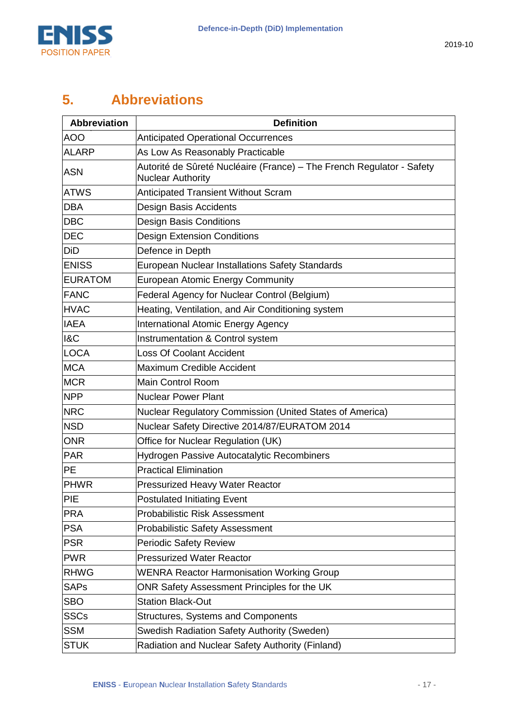

## <span id="page-16-0"></span>**5. Abbreviations**

| <b>Abbreviation</b> | <b>Definition</b>                                                                                 |
|---------------------|---------------------------------------------------------------------------------------------------|
| <b>AOO</b>          | <b>Anticipated Operational Occurrences</b>                                                        |
| <b>ALARP</b>        | As Low As Reasonably Practicable                                                                  |
| <b>ASN</b>          | Autorité de Sûreté Nucléaire (France) – The French Regulator - Safety<br><b>Nuclear Authority</b> |
| <b>ATWS</b>         | <b>Anticipated Transient Without Scram</b>                                                        |
| <b>DBA</b>          | Design Basis Accidents                                                                            |
| <b>DBC</b>          | <b>Design Basis Conditions</b>                                                                    |
| <b>DEC</b>          | <b>Design Extension Conditions</b>                                                                |
| DiD                 | Defence in Depth                                                                                  |
| <b>ENISS</b>        | European Nuclear Installations Safety Standards                                                   |
| <b>EURATOM</b>      | <b>European Atomic Energy Community</b>                                                           |
| <b>FANC</b>         | Federal Agency for Nuclear Control (Belgium)                                                      |
| <b>HVAC</b>         | Heating, Ventilation, and Air Conditioning system                                                 |
| <b>IAEA</b>         | <b>International Atomic Energy Agency</b>                                                         |
| <b>1&amp;C</b>      | Instrumentation & Control system                                                                  |
| <b>LOCA</b>         | <b>Loss Of Coolant Accident</b>                                                                   |
| <b>MCA</b>          | Maximum Credible Accident                                                                         |
| <b>MCR</b>          | Main Control Room                                                                                 |
| <b>NPP</b>          | <b>Nuclear Power Plant</b>                                                                        |
| <b>NRC</b>          | Nuclear Regulatory Commission (United States of America)                                          |
| <b>NSD</b>          | Nuclear Safety Directive 2014/87/EURATOM 2014                                                     |
| <b>ONR</b>          | Office for Nuclear Regulation (UK)                                                                |
| <b>PAR</b>          | Hydrogen Passive Autocatalytic Recombiners                                                        |
| PE                  | <b>Practical Elimination</b>                                                                      |
| <b>PHWR</b>         | <b>Pressurized Heavy Water Reactor</b>                                                            |
| PIE                 | <b>Postulated Initiating Event</b>                                                                |
| <b>PRA</b>          | <b>Probabilistic Risk Assessment</b>                                                              |
| <b>PSA</b>          | <b>Probabilistic Safety Assessment</b>                                                            |
| <b>PSR</b>          | <b>Periodic Safety Review</b>                                                                     |
| <b>PWR</b>          | <b>Pressurized Water Reactor</b>                                                                  |
| RHWG                | <b>WENRA Reactor Harmonisation Working Group</b>                                                  |
| SAPs                | ONR Safety Assessment Principles for the UK                                                       |
| <b>SBO</b>          | <b>Station Black-Out</b>                                                                          |
| <b>SSCs</b>         | <b>Structures, Systems and Components</b>                                                         |
| <b>SSM</b>          | Swedish Radiation Safety Authority (Sweden)                                                       |
| <b>STUK</b>         | Radiation and Nuclear Safety Authority (Finland)                                                  |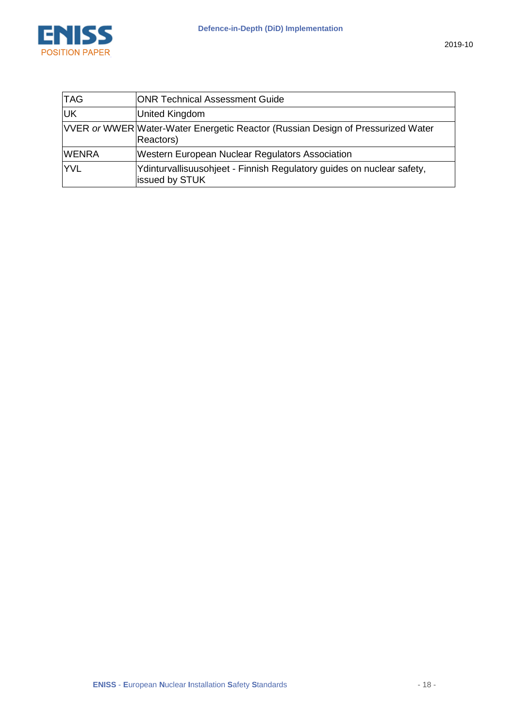

| <b>TAG</b> | ONR Technical Assessment Guide                                                               |
|------------|----------------------------------------------------------------------------------------------|
| ll IK      | United Kingdom                                                                               |
|            | VVER or WWER Water-Water Energetic Reactor (Russian Design of Pressurized Water<br>Reactors) |
| WFNRA      | Western European Nuclear Regulators Association                                              |
|            | Ydinturvallisuusohjeet - Finnish Regulatory guides on nuclear safety,<br>issued by STUK      |